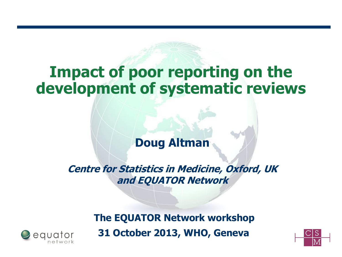## **Impact of poor reporting on the development of systematic reviews**

### **Doug Altman**

**Centre for Statistics in Medicine, Oxford, UK and EQUATOR Network** 

> **The EQUATOR Network workshop 31 October 2013, WHO, Geneva**



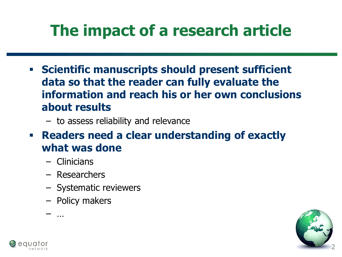# **The impact of a research article**

- **Scientific manuscripts should present sufficient data so that the reader can fully evaluate the information and reach his or her own conclusions about results** 
	- to assess reliability and relevance
- **Readers need a clear understanding of exactly what was done**
	- Clinicians

– …

- Researchers
- Systematic reviewers
- Policy makers

2

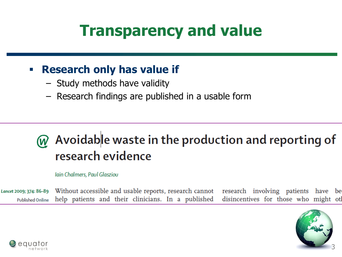# **Transparency and value**

### **Research only has value if**

- Study methods have validity
- Research findings are published in a usable form

## W Avoidable waste in the production and reporting of research evidence

#### Iain Chalmers, Paul Glasziou

Lancet 2009; 374: 86-89 Without accessible and usable reports, research cannot research involving patients have be help patients and their clinicians. In a published disincentives for those who might ot **Published Online** 



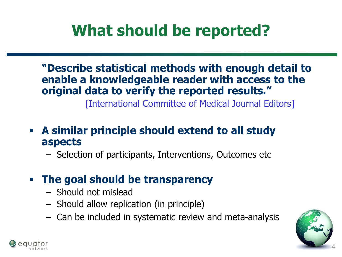# **What should be reported?**

**"Describe statistical methods with enough detail to enable a knowledgeable reader with access to the original data to verify the reported results."** 

[International Committee of Medical Journal Editors]

 **A similar principle should extend to all study aspects** 

- Selection of participants, Interventions, Outcomes etc
- **The goal should be transparency**
	- Should not mislead
	- Should allow replication (in principle)
	- Can be included in systematic review and meta-analysis



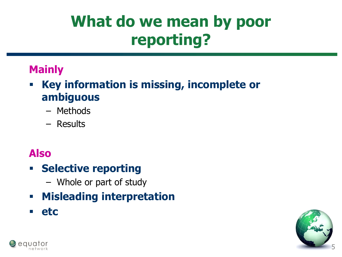# **What do we mean by poor reporting?**

## **Mainly**

- **Key information is missing, incomplete or ambiguous**
	- Methods
	- Results

## **Also**

## **Selective reporting**

- Whole or part of study
- **Misleading interpretation**
- **etc**



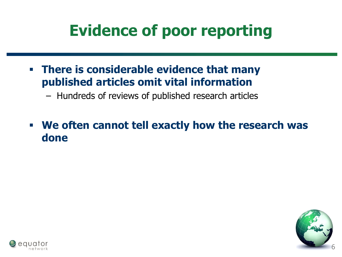# **Evidence of poor reporting**

 **There is considerable evidence that many published articles omit vital information**

– Hundreds of reviews of published research articles

 **We often cannot tell exactly how the research was done** 



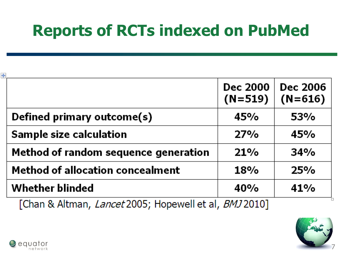# **Reports of RCTs indexed on PubMed**

| +                                       | Dec 2000<br>$(N=519)$ | <b>Dec 2006</b><br>$(N=616)$ |
|-----------------------------------------|-----------------------|------------------------------|
| Defined primary outcome(s)              | 45%                   | 53%                          |
| Sample size calculation                 | 27%                   | 45%                          |
| Method of random sequence generation    | 21%                   | 34%                          |
| <b>Method of allocation concealment</b> | <b>18%</b>            | 25%                          |
| <b>Whether blinded</b>                  | 40%                   | 41%                          |

[Chan & Altman, Lancet 2005; Hopewell et al, BMJ 2010]



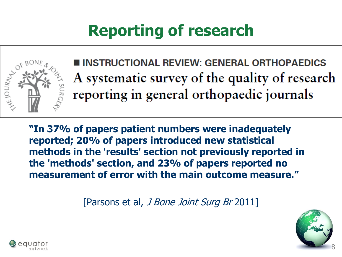# **Reporting of research**



**INSTRUCTIONAL REVIEW: GENERAL ORTHOPAEDICS** A systematic survey of the quality of research reporting in general orthopaedic journals

**"In 37% of papers patient numbers were inadequately reported; 20% of papers introduced new statistical methods in the 'results' section not previously reported in the 'methods' section, and 23% of papers reported no measurement of error with the main outcome measure."** 

[Parsons et al, J Bone Joint Surg Br 2011]



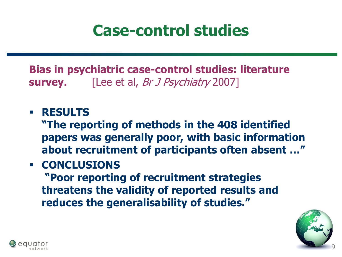## **Case-control studies**

**Bias in psychiatric case-control studies: literature survey.** [Lee et al, *Br J Psychiatry* 2007]

### **RESULTS**

**"The reporting of methods in the 408 identified papers was generally poor, with basic information about recruitment of participants often absent …"**

**- CONCLUSIONS** 

**"Poor reporting of recruitment strategies threatens the validity of reported results and reduces the generalisability of studies."** 



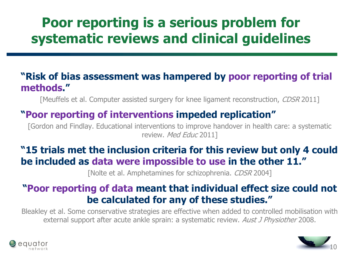## **Poor reporting is a serious problem for systematic reviews and clinical guidelines**

#### **"Risk of bias assessment was hampered by poor reporting of trial methods."**

[Meuffels et al. Computer assisted surgery for knee ligament reconstruction, CDSR 2011]

#### **"Poor reporting of interventions impeded replication"**

[Gordon and Findlay. Educational interventions to improve handover in health care: a systematic review. Med Educ 2011]

#### **"15 trials met the inclusion criteria for this review but only 4 could be included as data were impossible to use in the other 11."**

[Nolte et al. Amphetamines for schizophrenia. CDSR 2004]

#### **"Poor reporting of data meant that individual effect size could not be calculated for any of these studies."**

Bleakley et al. Some conservative strategies are effective when added to controlled mobilisation with external support after acute ankle sprain: a systematic review. Aust J Physiother 2008.



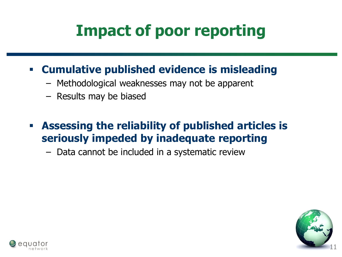# **Impact of poor reporting**

## **Cumulative published evidence is misleading**

- Methodological weaknesses may not be apparent
- Results may be biased
- **Assessing the reliability of published articles is seriously impeded by inadequate reporting**

– Data cannot be included in a systematic review



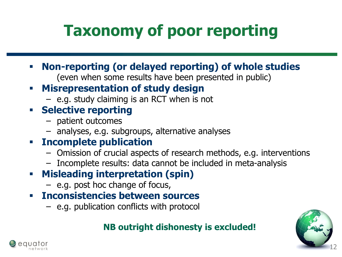# **Taxonomy of poor reporting**

- **Non-reporting (or delayed reporting) of whole studies** (even when some results have been presented in public)
- **Misrepresentation of study design**
	- e.g. study claiming is an RCT when is not
- **Selective reporting** 
	- patient outcomes
	- analyses, e.g. subgroups, alternative analyses

### **Incomplete publication**

- Omission of crucial aspects of research methods, e.g. interventions
- Incomplete results: data cannot be included in meta-analysis
- **Misleading interpretation (spin)** 
	- e.g. post hoc change of focus,
- **Inconsistencies between sources**
	- e.g. publication conflicts with protocol

#### **NB outright dishonesty is excluded!**



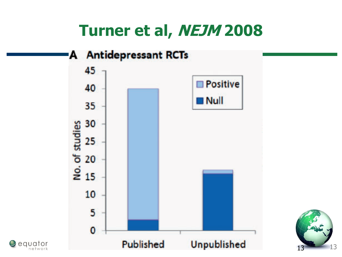## **Turner et al, NEJM 2008**

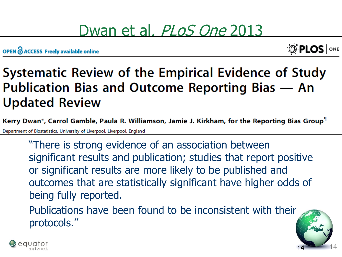## Dwan et al, *PLoS One* 2013

OPEN O ACCESS Freely available online



14

14

## Systematic Review of the Empirical Evidence of Study Publication Bias and Outcome Reporting Bias - An **Updated Review**

Kerry Dwan\*, Carrol Gamble, Paula R. Williamson, Jamie J. Kirkham, for the Reporting Bias Group<sup>1</sup> Department of Biostatistics, University of Liverpool, Liverpool, England

"There is strong evidence of an association between significant results and publication; studies that report positive or significant results are more likely to be published and outcomes that are statistically significant have higher odds of being fully reported.

Publications have been found to be inconsistent with their protocols."

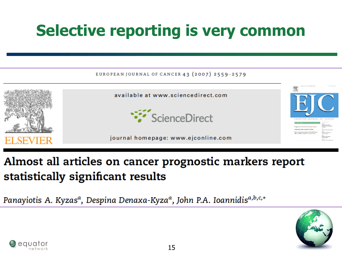# **Selective reporting is very common**



## Almost all articles on cancer prognostic markers report statistically significant results

Panayiotis A. Kyzas<sup>a</sup>, Despina Denaxa-Kyza<sup>a</sup>, John P.A. Ioannidis<sup>a,b,c,\*</sup>



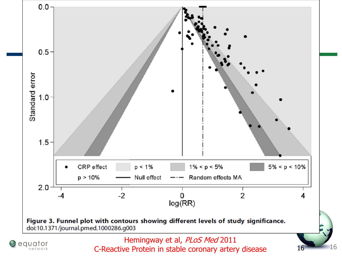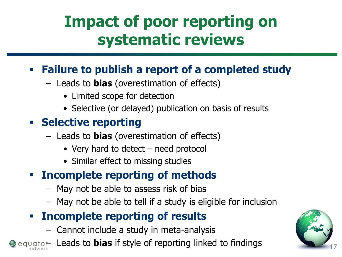# **Impact of poor reporting on systematic reviews**

## **Failure to publish a report of a completed study**

- Leads to **bias** (overestimation of effects)
	- Limited scope for detection
	- Selective (or delayed) publication on basis of results

## **Fig. 3 Selective reporting**

- Leads to **bias** (overestimation of effects)
	- Very hard to detect need protocol
	- Similar effect to missing studies

## **Incomplete reporting of methods**

- May not be able to assess risk of bias
- May not be able to tell if a study is eligible for inclusion

## **Incomplete reporting of results**

- Cannot include a study in meta-analysis
- equator Leads to **bias** if style of reporting linked to findings